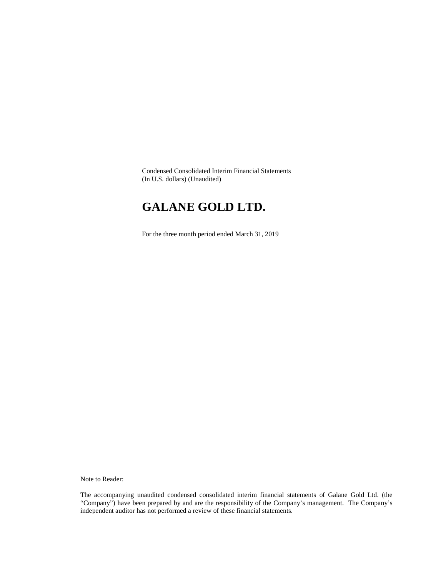Condensed Consolidated Interim Financial Statements (In U.S. dollars) (Unaudited)

# **GALANE GOLD LTD.**

For the three month period ended March 31, 2019

Note to Reader:

The accompanying unaudited condensed consolidated interim financial statements of Galane Gold Ltd. (the "Company") have been prepared by and are the responsibility of the Company's management. The Company's independent auditor has not performed a review of these financial statements.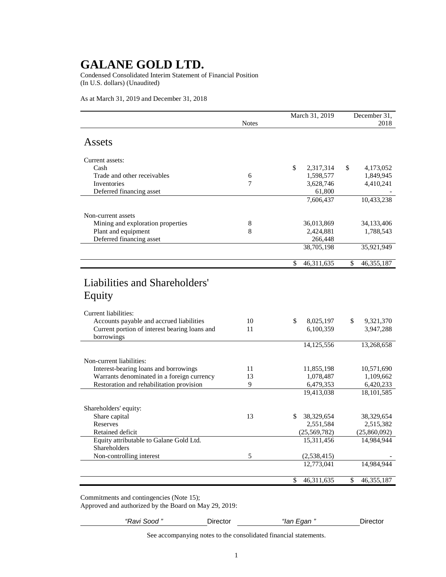Condensed Consolidated Interim Statement of Financial Position (In U.S. dollars) (Unaudited)

As at March 31, 2019 and December 31, 2018

|                                               |              | March 31, 2019   | December 31.       |
|-----------------------------------------------|--------------|------------------|--------------------|
|                                               | <b>Notes</b> |                  | 2018               |
| Assets                                        |              |                  |                    |
| Current assets:                               |              |                  |                    |
| Cash                                          |              | \$<br>2,317,314  | \$<br>4,173,052    |
| Trade and other receivables                   | 6            | 1,598,577        | 1,849,945          |
| Inventories                                   | 7            | 3,628,746        | 4,410,241          |
| Deferred financing asset                      |              | 61,800           |                    |
|                                               |              | 7,606,437        | 10,433,238         |
| Non-current assets                            |              |                  |                    |
| Mining and exploration properties             | 8            | 36,013,869       | 34,133,406         |
| Plant and equipment                           | 8            | 2,424,881        | 1,788,543          |
| Deferred financing asset                      |              | 266,448          |                    |
|                                               |              | 38,705,198       | 35,921,949         |
|                                               |              | \$<br>46,311,635 | \$<br>46, 355, 187 |
|                                               |              |                  |                    |
| Liabilities and Shareholders'                 |              |                  |                    |
| Equity                                        |              |                  |                    |
|                                               |              |                  |                    |
| Current liabilities:                          |              |                  |                    |
| Accounts payable and accrued liabilities      | 10           | \$<br>8,025,197  | \$<br>9,321,370    |
| Current portion of interest bearing loans and | 11           | 6,100,359        | 3,947,288          |
| borrowings                                    |              |                  |                    |
|                                               |              | 14,125,556       | 13,268,658         |
| Non-current liabilities:                      |              |                  |                    |
| Interest-bearing loans and borrowings         | 11           | 11,855,198       | 10,571,690         |
| Warrants denominated in a foreign currency    | 13           | 1,078,487        | 1,109,662          |
| Restoration and rehabilitation provision      | 9            | 6,479,353        | 6,420,233          |
|                                               |              | 19,413,038       | 18, 101, 585       |
|                                               |              |                  |                    |
| Shareholders' equity:<br>Share capital        | 13           | \$<br>38,329,654 | 38,329,654         |
| Reserves                                      |              | 2,551,584        | 2,515,382          |
| Retained deficit                              |              | (25, 569, 782)   | (25,860,092)       |
| Equity attributable to Galane Gold Ltd.       |              | 15,311,456       | 14,984,944         |
| Shareholders                                  |              |                  |                    |
| Non-controlling interest                      | 5            | (2, 538, 415)    |                    |
|                                               |              | 12,773,041       | 14,984,944         |
|                                               |              | \$<br>46,311,635 | \$<br>46, 355, 187 |
|                                               |              |                  |                    |

Commitments and contingencies (Note 15);

Approved and authorized by the Board on May 29, 2019:

*"Ravi Sood "* Director *"Ian Egan "* Director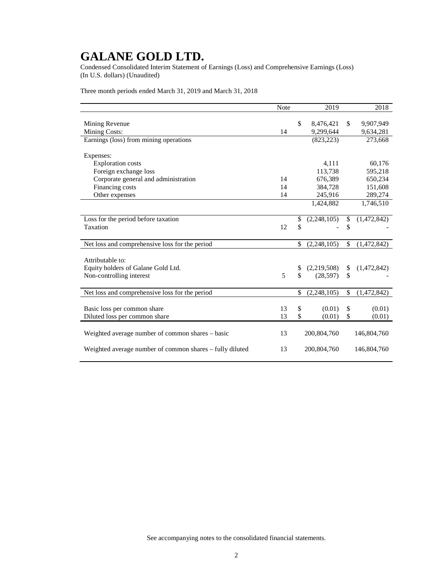Condensed Consolidated Interim Statement of Earnings (Loss) and Comprehensive Earnings (Loss) (In U.S. dollars) (Unaudited)

Three month periods ended March 31, 2019 and March 31, 2018

|                                                          | Note |               | 2019          |               | 2018        |
|----------------------------------------------------------|------|---------------|---------------|---------------|-------------|
|                                                          |      |               |               |               |             |
| Mining Revenue                                           |      | \$            | 8,476,421     | $\mathbb{S}$  | 9,907,949   |
| <b>Mining Costs:</b>                                     | 14   |               | 9,299,644     |               | 9,634,281   |
| Earnings (loss) from mining operations                   |      |               | (823, 223)    |               | 273,668     |
|                                                          |      |               |               |               |             |
| Expenses:                                                |      |               |               |               |             |
| <b>Exploration costs</b>                                 |      |               | 4,111         |               | 60,176      |
| Foreign exchange loss                                    |      |               | 113,738       |               | 595,218     |
| Corporate general and administration                     | 14   |               | 676,389       |               | 650,234     |
| Financing costs                                          | 14   |               | 384,728       |               | 151,608     |
| Other expenses                                           | 14   |               | 245,916       |               | 289,274     |
|                                                          |      |               | 1,424,882     |               | 1,746,510   |
|                                                          |      |               |               |               |             |
| Loss for the period before taxation                      |      | \$            | (2,248,105)   | \$            | (1,472,842) |
| Taxation                                                 | 12   | \$            |               | \$            |             |
|                                                          |      |               |               |               |             |
| Net loss and comprehensive loss for the period           |      | \$            | (2, 248, 105) | \$            | (1,472,842) |
|                                                          |      |               |               |               |             |
| Attributable to:                                         |      |               |               |               |             |
| Equity holders of Galane Gold Ltd.                       |      | \$            | (2,219,508)   | \$            | (1,472,842) |
| Non-controlling interest                                 | 5    | \$            | (28, 597)     | $\mathcal{S}$ |             |
|                                                          |      |               |               |               |             |
| Net loss and comprehensive loss for the period           |      | \$            | (2,248,105)   | \$            | (1,472,842) |
|                                                          |      |               |               |               |             |
| Basic loss per common share                              | 13   | \$            | (0.01)        | \$            | (0.01)      |
| Diluted loss per common share                            | 13   | $\mathcal{S}$ | (0.01)        | $\mathcal{S}$ | (0.01)      |
|                                                          |      |               |               |               |             |
| Weighted average number of common shares - basic         | 13   |               | 200,804,760   |               | 146,804,760 |
|                                                          |      |               |               |               |             |
| Weighted average number of common shares – fully diluted | 13   |               | 200,804,760   |               | 146,804,760 |
|                                                          |      |               |               |               |             |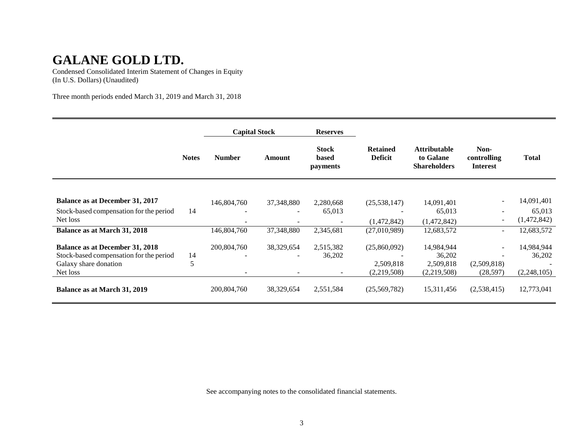Condensed Consolidated Interim Statement of Changes in Equity (In U.S. Dollars) (Unaudited)

Three month periods ended March 31, 2019 and March 31, 2018

|                                         |              | <b>Capital Stock</b> |                          | <b>Reserves</b>                          |                                   |                                                         |                                        |              |
|-----------------------------------------|--------------|----------------------|--------------------------|------------------------------------------|-----------------------------------|---------------------------------------------------------|----------------------------------------|--------------|
|                                         | <b>Notes</b> | <b>Number</b>        | Amount                   | <b>Stock</b><br>based<br><i>payments</i> | <b>Retained</b><br><b>Deficit</b> | <b>Attributable</b><br>to Galane<br><b>Shareholders</b> | Non-<br>controlling<br><b>Interest</b> | <b>Total</b> |
|                                         |              |                      |                          |                                          |                                   |                                                         |                                        |              |
| Balance as at December 31, 2017         |              | 146,804,760          | 37,348,880               | 2,280,668                                | (25, 538, 147)                    | 14,091,401                                              |                                        | 14,091,401   |
| Stock-based compensation for the period | 14           |                      |                          | 65,013                                   |                                   | 65,013                                                  |                                        | 65,013       |
| Net loss                                |              |                      |                          |                                          | (1,472,842)                       | (1,472,842)                                             | $\sim$                                 | (1,472,842)  |
| <b>Balance as at March 31, 2018</b>     |              | 146,804,760          | 37,348,880               | 2,345,681                                | (27,010,989)                      | 12,683,572                                              | $\sim$                                 | 12,683,572   |
| <b>Balance as at December 31, 2018</b>  |              | 200,804,760          | 38,329,654               | 2,515,382                                | (25,860,092)                      | 14,984,944                                              | $\sim$                                 | 14,984,944   |
| Stock-based compensation for the period | 14           |                      |                          | 36,202                                   |                                   | 36,202                                                  |                                        | 36,202       |
| Galaxy share donation                   | 5            |                      |                          |                                          | 2,509,818                         | 2,509,818                                               | (2,509,818)                            |              |
| Net loss                                |              |                      | $\overline{\phantom{a}}$ |                                          | (2,219,508)                       | (2,219,508)                                             | (28, 597)                              | (2,248,105)  |
| Balance as at March 31, 2019            |              | 200,804,760          | 38,329,654               | 2,551,584                                | (25,569,782)                      | 15,311,456                                              | (2,538,415)                            | 12,773,041   |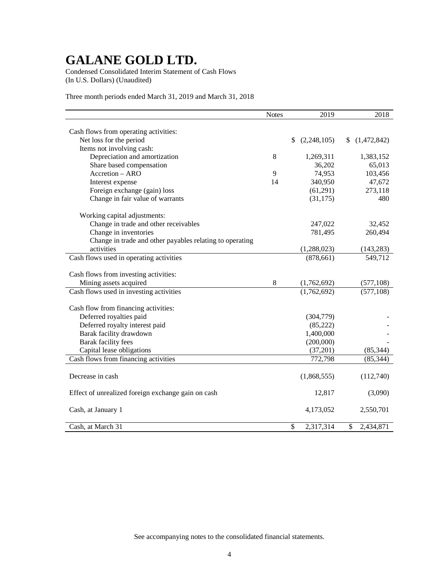Condensed Consolidated Interim Statement of Cash Flows (In U.S. Dollars) (Unaudited)

Three month periods ended March 31, 2019 and March 31, 2018

|                                                          | Notes | 2019              | 2018              |
|----------------------------------------------------------|-------|-------------------|-------------------|
|                                                          |       |                   |                   |
| Cash flows from operating activities:                    |       |                   |                   |
| Net loss for the period                                  |       | \$<br>(2,248,105) | \$<br>(1,472,842) |
| Items not involving cash:                                |       |                   |                   |
| Depreciation and amortization                            | 8     | 1,269,311         | 1,383,152         |
| Share based compensation                                 |       | 36,202            | 65,013            |
| Accretion - ARO                                          | 9     | 74,953            | 103,456           |
| Interest expense                                         | 14    | 340,950           | 47,672            |
| Foreign exchange (gain) loss                             |       | (61,291)          | 273,118           |
| Change in fair value of warrants                         |       | (31, 175)         | 480               |
| Working capital adjustments:                             |       |                   |                   |
| Change in trade and other receivables                    |       | 247,022           | 32,452            |
| Change in inventories                                    |       | 781,495           | 260,494           |
| Change in trade and other payables relating to operating |       |                   |                   |
| activities                                               |       | (1,288,023)       | (143, 283)        |
| Cash flows used in operating activities                  |       | (878, 661)        | 549,712           |
|                                                          |       |                   |                   |
| Cash flows from investing activities:                    |       |                   |                   |
| Mining assets acquired                                   | 8     | (1,762,692)       | (577,108)         |
| Cash flows used in investing activities                  |       | (1,762,692)       | (577, 108)        |
| Cash flow from financing activities:                     |       |                   |                   |
| Deferred royalties paid                                  |       | (304, 779)        |                   |
| Deferred royalty interest paid                           |       | (85, 222)         |                   |
| Barak facility drawdown                                  |       | 1,400,000         |                   |
| Barak facility fees                                      |       | (200,000)         |                   |
| Capital lease obligations                                |       | (37,201)          | (85, 344)         |
| Cash flows from financing activities                     |       | 772,798           |                   |
|                                                          |       |                   | (85, 344)         |
| Decrease in cash                                         |       | (1,868,555)       | (112,740)         |
|                                                          |       |                   |                   |
| Effect of unrealized foreign exchange gain on cash       |       | 12,817            | (3,090)           |
|                                                          |       |                   |                   |
| Cash, at January 1                                       |       | 4,173,052         | 2,550,701         |
| Cash, at March 31                                        |       | \$<br>2,317,314   | \$<br>2,434,871   |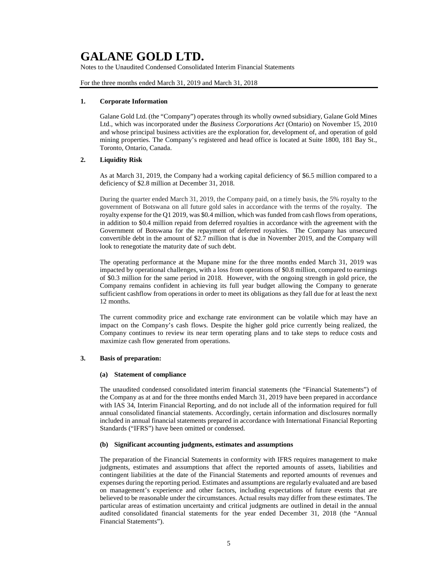Notes to the Unaudited Condensed Consolidated Interim Financial Statements

For the three months ended March 31, 2019 and March 31, 2018

#### **1. Corporate Information**

Galane Gold Ltd. (the "Company") operates through its wholly owned subsidiary, Galane Gold Mines Ltd., which was incorporated under the *Business Corporations Act* (Ontario) on November 15, 2010 and whose principal business activities are the exploration for, development of, and operation of gold mining properties. The Company's registered and head office is located at Suite 1800, 181 Bay St., Toronto, Ontario, Canada.

## **2. Liquidity Risk**

As at March 31, 2019, the Company had a working capital deficiency of \$6.5 million compared to a deficiency of \$2.8 million at December 31, 2018.

During the quarter ended March 31, 2019, the Company paid, on a timely basis, the 5% royalty to the government of Botswana on all future gold sales in accordance with the terms of the royalty. The royalty expense for the Q1 2019, was \$0.4 million, which was funded from cash flows from operations, in addition to \$0.4 million repaid from deferred royalties in accordance with the agreement with the Government of Botswana for the repayment of deferred royalties. The Company has unsecured convertible debt in the amount of \$2.7 million that is due in November 2019, and the Company will look to renegotiate the maturity date of such debt.

The operating performance at the Mupane mine for the three months ended March 31, 2019 was impacted by operational challenges, with a loss from operations of \$0.8 million, compared to earnings of \$0.3 million for the same period in 2018. However, with the ongoing strength in gold price, the Company remains confident in achieving its full year budget allowing the Company to generate sufficient cashflow from operations in order to meet its obligations as they fall due for at least the next 12 months.

The current commodity price and exchange rate environment can be volatile which may have an impact on the Company's cash flows. Despite the higher gold price currently being realized, the Company continues to review its near term operating plans and to take steps to reduce costs and maximize cash flow generated from operations.

### **3. Basis of preparation:**

#### **(a) Statement of compliance**

The unaudited condensed consolidated interim financial statements (the "Financial Statements") of the Company as at and for the three months ended March 31, 2019 have been prepared in accordance with IAS 34, Interim Financial Reporting, and do not include all of the information required for full annual consolidated financial statements. Accordingly, certain information and disclosures normally included in annual financial statements prepared in accordance with International Financial Reporting Standards ("IFRS") have been omitted or condensed.

### **(b) Significant accounting judgments, estimates and assumptions**

The preparation of the Financial Statements in conformity with IFRS requires management to make judgments, estimates and assumptions that affect the reported amounts of assets, liabilities and contingent liabilities at the date of the Financial Statements and reported amounts of revenues and expenses during the reporting period. Estimates and assumptions are regularly evaluated and are based on management's experience and other factors, including expectations of future events that are believed to be reasonable under the circumstances. Actual results may differ from these estimates. The particular areas of estimation uncertainty and critical judgments are outlined in detail in the annual audited consolidated financial statements for the year ended December 31, 2018 (the "Annual Financial Statements").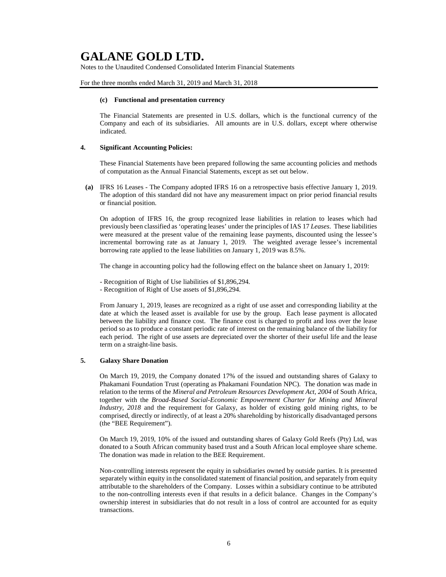Notes to the Unaudited Condensed Consolidated Interim Financial Statements

For the three months ended March 31, 2019 and March 31, 2018

#### **(c) Functional and presentation currency**

The Financial Statements are presented in U.S. dollars, which is the functional currency of the Company and each of its subsidiaries. All amounts are in U.S. dollars, except where otherwise indicated.

#### **4. Significant Accounting Policies:**

These Financial Statements have been prepared following the same accounting policies and methods of computation as the Annual Financial Statements, except as set out below.

**(a)** IFRS 16 Leases - The Company adopted IFRS 16 on a retrospective basis effective January 1, 2019. The adoption of this standard did not have any measurement impact on prior period financial results or financial position.

On adoption of IFRS 16, the group recognized lease liabilities in relation to leases which had previously been classified as 'operating leases' under the principles of IAS 17 *Leases*. These liabilities were measured at the present value of the remaining lease payments, discounted using the lessee's incremental borrowing rate as at January 1, 2019. The weighted average lessee's incremental borrowing rate applied to the lease liabilities on January 1, 2019 was 8.5%.

The change in accounting policy had the following effect on the balance sheet on January 1, 2019:

- Recognition of Right of Use liabilities of \$1,896,294.
- Recognition of Right of Use assets of \$1,896,294.

From January 1, 2019, leases are recognized as a right of use asset and corresponding liability at the date at which the leased asset is available for use by the group. Each lease payment is allocated between the liability and finance cost. The finance cost is charged to profit and loss over the lease period so as to produce a constant periodic rate of interest on the remaining balance of the liability for each period. The right of use assets are depreciated over the shorter of their useful life and the lease term on a straight-line basis.

### **5. Galaxy Share Donation**

On March 19, 2019, the Company donated 17% of the issued and outstanding shares of Galaxy to Phakamani Foundation Trust (operating as Phakamani Foundation NPC). The donation was made in relation to the terms of the *Mineral and Petroleum Resources Development Act, 2004* of South Africa, together with the *Broad-Based Social-Economic Empowerment Charter for Mining and Mineral Industry, 2018* and the requirement for Galaxy, as holder of existing gold mining rights, to be comprised, directly or indirectly, of at least a 20% shareholding by historically disadvantaged persons (the "BEE Requirement").

On March 19, 2019, 10% of the issued and outstanding shares of Galaxy Gold Reefs (Pty) Ltd, was donated to a South African community based trust and a South African local employee share scheme. The donation was made in relation to the BEE Requirement.

Non-controlling interests represent the equity in subsidiaries owned by outside parties. It is presented separately within equity in the consolidated statement of financial position, and separately from equity attributable to the shareholders of the Company. Losses within a subsidiary continue to be attributed to the non-controlling interests even if that results in a deficit balance. Changes in the Company's ownership interest in subsidiaries that do not result in a loss of control are accounted for as equity transactions.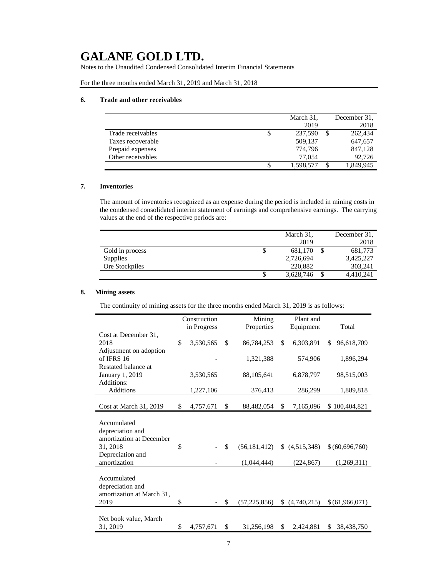Notes to the Unaudited Condensed Consolidated Interim Financial Statements

For the three months ended March 31, 2019 and March 31, 2018

## **6. Trade and other receivables**

|                   |   | March 31, | December 31. |
|-------------------|---|-----------|--------------|
|                   |   | 2019      | 2018         |
| Trade receivables | S | 237,590   | 262,434      |
| Taxes recoverable |   | 509,137   | 647,657      |
| Prepaid expenses  |   | 774.796   | 847,128      |
| Other receivables |   | 77,054    | 92,726       |
|                   |   | 1,598,577 | 1,849,945    |

## **7. Inventories**

The amount of inventories recognized as an expense during the period is included in mining costs in the condensed consolidated interim statement of earnings and comprehensive earnings. The carrying values at the end of the respective periods are:

|                 |   | March 31, | December 31. |
|-----------------|---|-----------|--------------|
|                 |   | 2019      | 2018         |
| Gold in process | Φ | 681.170   | 681,773      |
| Supplies        |   | 2,726,694 | 3,425,227    |
| Ore Stockpiles  |   | 220,882   | 303,241      |
|                 | C | 3,628,746 | 4,410,241    |

### **8. Mining assets**

The continuity of mining assets for the three months ended March 31, 2019 is as follows:

|                                                                         | Construction    | Mining               |     | Plant and   |                  |
|-------------------------------------------------------------------------|-----------------|----------------------|-----|-------------|------------------|
|                                                                         | in Progress     | Properties           |     | Equipment   | Total            |
| Cost at December 31,                                                    |                 |                      |     |             |                  |
| 2018                                                                    | \$<br>3,530,565 | \$<br>86,784,253     | \$. | 6,303,891   | 96,618,709<br>\$ |
| Adjustment on adoption                                                  |                 |                      |     |             |                  |
| of IFRS 16                                                              |                 | 1,321,388            |     | 574,906     | 1,896,294        |
| Restated balance at                                                     |                 |                      |     |             |                  |
| January 1, 2019                                                         | 3,530,565       | 88,105,641           |     | 6,878,797   | 98,515,003       |
| Additions:                                                              |                 |                      |     |             |                  |
| <b>Additions</b>                                                        | 1,227,106       | 376,413              |     | 286,299     | 1,889,818        |
|                                                                         |                 |                      |     |             |                  |
| Cost at March 31, 2019                                                  | \$<br>4,757,671 | \$<br>88,482,054     | \$  | 7,165,096   | \$100,404,821    |
| Accumulated<br>depreciation and<br>amortization at December<br>31, 2018 | \$              | \$<br>(56, 181, 412) | \$  | (4,515,348) | \$ (60,696,760)  |
| Depreciation and<br>amortization                                        |                 | (1,044,444)          |     | (224, 867)  | (1,269,311)      |
| Accumulated<br>depreciation and<br>amortization at March 31,<br>2019    | \$              | \$<br>(57, 225, 856) | \$  | (4,740,215) | \$(61,966,071)   |
| Net book value, March<br>31, 2019                                       | \$<br>4,757,671 | \$<br>31,256,198     | \$  | 2.424.881   | \$<br>38,438,750 |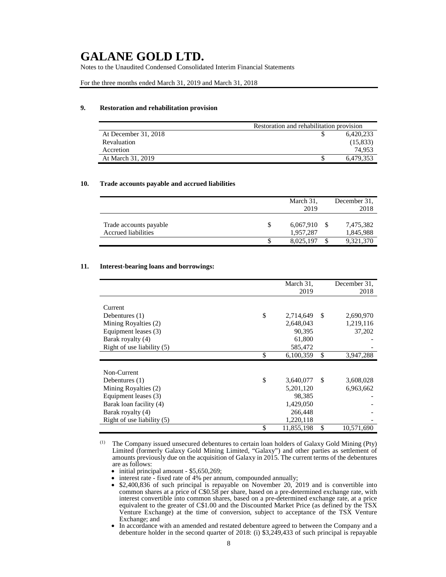Notes to the Unaudited Condensed Consolidated Interim Financial Statements

For the three months ended March 31, 2019 and March 31, 2018

## **9. Restoration and rehabilitation provision**

|                      | Restoration and rehabilitation provision |           |  |  |
|----------------------|------------------------------------------|-----------|--|--|
| At December 31, 2018 |                                          | 6.420.233 |  |  |
| Revaluation          |                                          | (15,833)  |  |  |
| Accretion            |                                          | 74.953    |  |  |
| At March 31, 2019    |                                          | 6,479,353 |  |  |

### **10. Trade accounts payable and accrued liabilities**

|                        |   | March 31, | December 31. |
|------------------------|---|-----------|--------------|
|                        |   | 2019      | 2018         |
|                        |   |           |              |
| Trade accounts payable | S | 6,067,910 | 7,475,382    |
| Accrued liabilities    |   | 1.957.287 | 1,845,988    |
|                        |   | 8.025.197 | 9,321,370    |

#### **11. Interest-bearing loans and borrowings:**

|                              | March 31,        |      | December 31, |
|------------------------------|------------------|------|--------------|
|                              | 2019             |      | 2018         |
|                              |                  |      |              |
| Current                      |                  |      |              |
| Debentures $(1)$             | \$<br>2,714,649  | -\$  | 2,690,970    |
| Mining Royalties (2)         | 2,648,043        |      | 1,219,116    |
| Equipment leases (3)         | 90,395           |      | 37,202       |
| Barak royalty (4)            | 61,800           |      |              |
| Right of use liability $(5)$ | 585,472          |      |              |
|                              | \$<br>6,100,359  | \$   | 3,947,288    |
|                              |                  |      |              |
| Non-Current                  |                  |      |              |
| Debentures (1)               | \$<br>3,640,077  | - \$ | 3,608,028    |
| Mining Royalties (2)         | 5,201,120        |      | 6,963,662    |
| Equipment leases (3)         | 98.385           |      |              |
| Barak loan facility (4)      | 1,429,050        |      |              |
| Barak royalty (4)            | 266,448          |      |              |
| Right of use liability (5)   | 1,220,118        |      |              |
|                              | \$<br>11,855,198 | \$   | 10,571,690   |

(1) The Company issued unsecured debentures to certain loan holders of Galaxy Gold Mining (Pty) Limited (formerly Galaxy Gold Mining Limited, "Galaxy") and other parties as settlement of amounts previously due on the acquisition of Galaxy in 2015. The current terms of the debentures are as follows:

• initial principal amount - \$5,650,269;

• interest rate - fixed rate of 4% per annum, compounded annually;

- \$2,400,836 of such principal is repayable on November 20, 2019 and is convertible into common shares at a price of C\$0.58 per share, based on a pre-determined exchange rate, with interest convertible into common shares, based on a pre-determined exchange rate, at a price equivalent to the greater of C\$1.00 and the Discounted Market Price (as defined by the TSX Venture Exchange) at the time of conversion, subject to acceptance of the TSX Venture Exchange; and
- In accordance with an amended and restated debenture agreed to between the Company and a debenture holder in the second quarter of 2018: (i) \$3,249,433 of such principal is repayable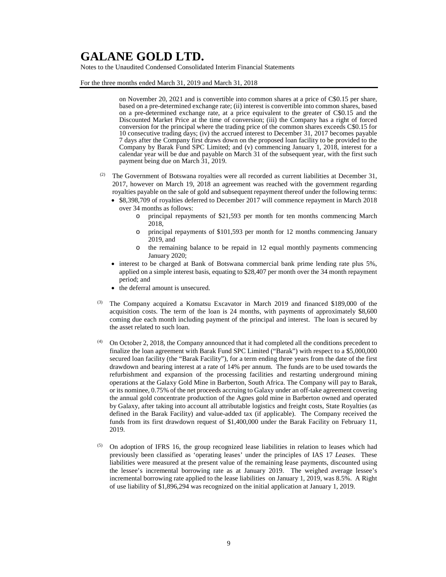Notes to the Unaudited Condensed Consolidated Interim Financial Statements

For the three months ended March 31, 2019 and March 31, 2018

on November 20, 2021 and is convertible into common shares at a price of C\$0.15 per share, based on a pre-determined exchange rate; (ii) interest is convertible into common shares, based on a pre-determined exchange rate, at a price equivalent to the greater of C\$0.15 and the Discounted Market Price at the time of conversion; (iii) the Company has a right of forced conversion for the principal where the trading price of the common shares exceeds C\$0.15 for 10 consecutive trading days; (iv) the accrued interest to December 31, 2017 becomes payable 7 days after the Company first draws down on the proposed loan facility to be provided to the Company by Barak Fund SPC Limited; and (v) commencing January 1, 2018, interest for a calendar year will be due and payable on March 31 of the subsequent year, with the first such payment being due on March 31, 2019.

- <sup>(2)</sup> The Government of Botswana royalties were all recorded as current liabilities at December 31, 2017, however on March 19, 2018 an agreement was reached with the government regarding royalties payable on the sale of gold and subsequent repayment thereof under the following terms:
	- \$8,398,709 of royalties deferred to December 2017 will commence repayment in March 2018 over 34 months as follows:
		- o principal repayments of \$21,593 per month for ten months commencing March 2018,
		- o principal repayments of \$101,593 per month for 12 months commencing January 2019, and
		- o the remaining balance to be repaid in 12 equal monthly payments commencing January 2020;
	- interest to be charged at Bank of Botswana commercial bank prime lending rate plus 5%, applied on a simple interest basis, equating to \$28,407 per month over the 34 month repayment period; and
	- the deferral amount is unsecured.
- (3) The Company acquired a Komatsu Excavator in March 2019 and financed \$189,000 of the acquisition costs. The term of the loan is 24 months, with payments of approximately \$8,600 coming due each month including payment of the principal and interest. The loan is secured by the asset related to such loan.
- (4) On October 2, 2018, the Company announced that it had completed all the conditions precedent to finalize the loan agreement with Barak Fund SPC Limited ("Barak") with respect to a \$5,000,000 secured loan facility (the "Barak Facility"), for a term ending three years from the date of the first drawdown and bearing interest at a rate of 14% per annum. The funds are to be used towards the refurbishment and expansion of the processing facilities and restarting underground mining operations at the Galaxy Gold Mine in Barberton, South Africa. The Company will pay to Barak, or its nominee, 0.75% of the net proceeds accruing to Galaxy under an off-take agreement covering the annual gold concentrate production of the Agnes gold mine in Barberton owned and operated by Galaxy, after taking into account all attributable logistics and freight costs, State Royalties (as defined in the Barak Facility) and value-added tax (if applicable). The Company received the funds from its first drawdown request of \$1,400,000 under the Barak Facility on February 11, 2019.
- (5) On adoption of IFRS 16, the group recognized lease liabilities in relation to leases which had previously been classified as 'operating leases' under the principles of IAS 17 *Leases*. These liabilities were measured at the present value of the remaining lease payments, discounted using the lessee's incremental borrowing rate as at January 2019. The weighed average lessee's incremental borrowing rate applied to the lease liabilities on January 1, 2019, was 8.5%. A Right of use liability of \$1,896,294 was recognized on the initial application at January 1, 2019.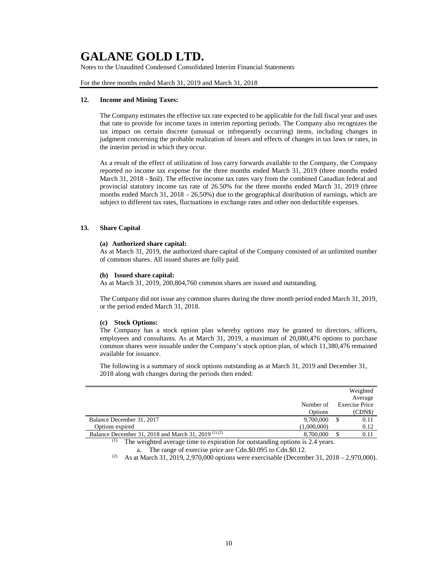Notes to the Unaudited Condensed Consolidated Interim Financial Statements

For the three months ended March 31, 2019 and March 31, 2018

#### **12. Income and Mining Taxes:**

The Company estimates the effective tax rate expected to be applicable for the full fiscal year and uses that rate to provide for income taxes in interim reporting periods. The Company also recognizes the tax impact on certain discrete (unusual or infrequently occurring) items, including changes in judgment concerning the probable realization of losses and effects of changes in tax laws or rates, in the interim period in which they occur.

As a result of the effect of utilization of loss carry forwards available to the Company, the Company reported no income tax expense for the three months ended March 31, 2019 (three months ended March 31, 2018 - \$nil). The effective income tax rates vary from the combined Canadian federal and provincial statutory income tax rate of 26.50% for the three months ended March 31, 2019 (three months ended March  $31$ ,  $2018 - 26.50\%$ ) due to the geographical distribution of earnings, which are subject to different tax rates, fluctuations in exchange rates and other non deductible expenses.

## **13. Share Capital**

### **(a) Authorized share capital:**

As at March 31, 2019, the authorized share capital of the Company consisted of an unlimited number of common shares. All issued shares are fully paid.

#### **(b) Issued share capital:**

As at March 31, 2019, 200,804,760 common shares are issued and outstanding.

The Company did not issue any common shares during the three month period ended March 31, 2019, or the period ended March 31, 2018.

#### **(c) Stock Options:**

The Company has a stock option plan whereby options may be granted to directors, officers, employees and consultants. As at March 31, 2019, a maximum of 20,080,476 options to purchase common shares were issuable under the Company's stock option plan, of which 11,380,476 remained available for issuance.

The following is a summary of stock options outstanding as at March 31, 2019 and December 31, 2018 along with changes during the periods then ended:

|                                                                                                           |             | Weighted              |
|-----------------------------------------------------------------------------------------------------------|-------------|-----------------------|
|                                                                                                           |             | Average               |
|                                                                                                           | Number of   | <b>Exercise Price</b> |
|                                                                                                           | Options     | (CDN\$)               |
| Balance December 31, 2017                                                                                 | 9,700,000   | 0.11                  |
| Options expired                                                                                           | (1,000,000) | 0.12                  |
| Balance December 31, 2018 and March 31, 2019 <sup>(1)(2)</sup>                                            | 8,700,000   | 0.11                  |
| т<br>The contributed excess as there to existent as free extension disc rations is $\alpha$ decomposition |             |                       |

The weighted average time to expiration for outstanding options is 2.4 years. a. The range of exercise price are Cdn.\$0.095 to Cdn.\$0.12.

<sup>(2)</sup> As at March 31, 2019, 2,970,000 options were exercisable (December 31, 2018 – 2,970,000).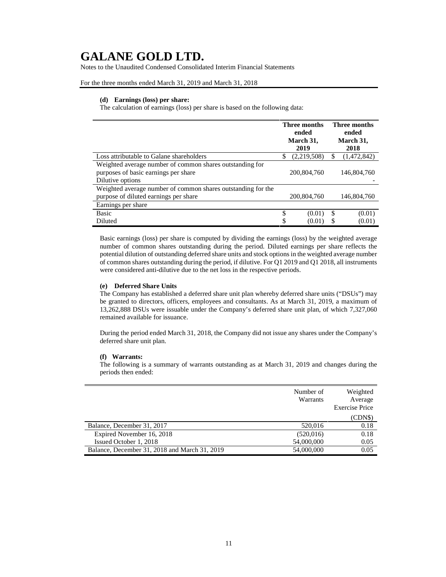Notes to the Unaudited Condensed Consolidated Interim Financial Statements

For the three months ended March 31, 2019 and March 31, 2018

### **(d) Earnings (loss) per share:**

The calculation of earnings (loss) per share is based on the following data:

|                                                                                                                      |    | Three months<br>ended<br>March 31,<br>2019 |    | <b>Three months</b><br>ended<br>March 31,<br>2018 |
|----------------------------------------------------------------------------------------------------------------------|----|--------------------------------------------|----|---------------------------------------------------|
| Loss attributable to Galane shareholders                                                                             | S  | (2,219,508)                                | S  | (1,472,842)                                       |
| Weighted average number of common shares outstanding for<br>purposes of basic earnings per share<br>Dilutive options |    | 200,804,760                                |    | 146,804,760                                       |
| Weighted average number of common shares outstanding for the                                                         |    |                                            |    |                                                   |
| purpose of diluted earnings per share                                                                                |    | 200,804,760                                |    | 146,804,760                                       |
| Earnings per share                                                                                                   |    |                                            |    |                                                   |
| Basic                                                                                                                | \$ | (0.01)                                     | \$ | (0.01)                                            |
| Diluted                                                                                                              | \$ | (0.01)                                     | S  | (0.01)                                            |

Basic earnings (loss) per share is computed by dividing the earnings (loss) by the weighted average number of common shares outstanding during the period. Diluted earnings per share reflects the potential dilution of outstanding deferred share units and stock options in the weighted average number of common shares outstanding during the period, if dilutive. For Q1 2019 and Q1 2018, all instruments were considered anti-dilutive due to the net loss in the respective periods.

### **(e) Deferred Share Units**

The Company has established a deferred share unit plan whereby deferred share units ("DSUs") may be granted to directors, officers, employees and consultants. As at March 31, 2019, a maximum of 13,262,888 DSUs were issuable under the Company's deferred share unit plan, of which 7,327,060 remained available for issuance.

During the period ended March 31, 2018, the Company did not issue any shares under the Company's deferred share unit plan.

## **(f) Warrants:**

The following is a summary of warrants outstanding as at March 31, 2019 and changes during the periods then ended:

|                                               | Number of<br>Warrants | Weighted<br>Average<br><b>Exercise Price</b> |
|-----------------------------------------------|-----------------------|----------------------------------------------|
|                                               |                       | (CDNS)                                       |
| Balance, December 31, 2017                    | 520,016               | 0.18                                         |
| Expired November 16, 2018                     | (520, 016)            | 0.18                                         |
| Issued October 1, 2018                        | 54,000,000            | 0.05                                         |
| Balance, December 31, 2018 and March 31, 2019 | 54,000,000            | 0.05                                         |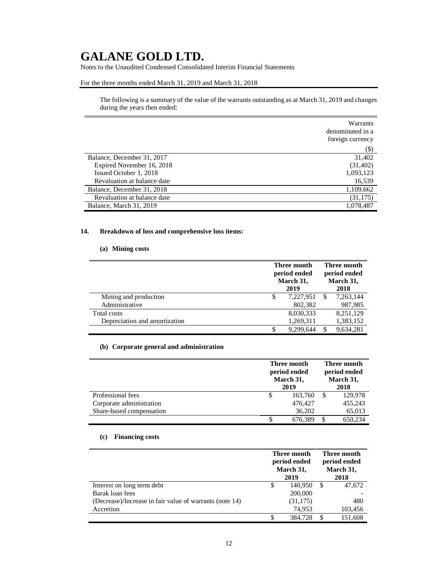Notes to the Unaudited Condensed Consolidated Interim Financial Statements

### For the three months ended March 31, 2019 and March 31, 2018

The following is a summary of the value of the warrants outstanding as at March 31, 2019 and changes during the years then ended:

|                             | Warrants<br>denominated in a<br>foreign currency |
|-----------------------------|--------------------------------------------------|
|                             | $(\$)$                                           |
| Balance, December 31, 2017  | 31,402                                           |
| Expired November 16, 2018   | (31, 402)                                        |
| Issued October 1, 2018      | 1,093,123                                        |
| Revaluation at balance date | 16,539                                           |
| Balance, December 31, 2018  | 1,109,662                                        |
| Revaluation at balance date | (31, 175)                                        |
| Balance, March 31, 2019     | 1,078,487                                        |

## **14. Breakdown of loss and comprehensive loss items:**

## **(a) Mining costs**

|                               | Three month<br>period ended<br>March 31,<br>2019 |           | Three month<br>period ended<br>March 31,<br>2018 |           |
|-------------------------------|--------------------------------------------------|-----------|--------------------------------------------------|-----------|
| Mining and production         | \$                                               | 7,227,951 |                                                  | 7,263,144 |
| Administrative                |                                                  | 802,382   |                                                  | 987,985   |
| Total costs                   |                                                  | 8,030,333 |                                                  | 8.251.129 |
| Depreciation and amortization |                                                  | 1,269,311 |                                                  | 1,383,152 |
|                               |                                                  | 9.299.644 |                                                  | 9.634.281 |

## **(b) Corporate general and administration**

|                          | Three month<br>period ended<br>March 31,<br>2019 |   | Three month<br>period ended<br>March 31,<br>2018 |  |
|--------------------------|--------------------------------------------------|---|--------------------------------------------------|--|
| Professional fees        | \$<br>163,760                                    |   | 129,978                                          |  |
| Corporate administration | 476,427                                          |   | 455,243                                          |  |
| Share-based compensation | 36,202                                           |   | 65,013                                           |  |
|                          | \$<br>676,389                                    | S | 650,234                                          |  |

## **(c) Financing costs**

|                                                         |   | Three month<br>period ended<br>March 31,<br>2019 |    | Three month<br>period ended<br>March 31,<br>2018 |  |
|---------------------------------------------------------|---|--------------------------------------------------|----|--------------------------------------------------|--|
| Interest on long term debt                              | S | 140.950                                          | -S | 47,672                                           |  |
| Barak loan fees                                         |   | 200,000                                          |    |                                                  |  |
| (Decrease)/Increase in fair value of warrants (note 14) |   | (31, 175)                                        |    | 480                                              |  |
| Accretion                                               |   | 74.953                                           |    | 103,456                                          |  |
|                                                         |   | 384,728                                          |    | 151.608                                          |  |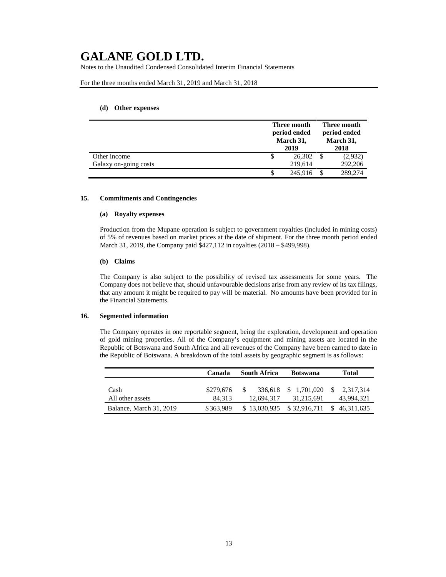Notes to the Unaudited Condensed Consolidated Interim Financial Statements

### For the three months ended March 31, 2019 and March 31, 2018

### **(d) Other expenses**

|                       | Three month<br>period ended<br>March 31,<br>2019 |         | Three month<br>period ended<br>March 31,<br>2018 |         |
|-----------------------|--------------------------------------------------|---------|--------------------------------------------------|---------|
| Other income          |                                                  | 26,302  |                                                  | (2,932) |
| Galaxy on-going costs |                                                  | 219.614 |                                                  | 292,206 |
|                       |                                                  | 245,916 |                                                  | 289,274 |

#### **15. Commitments and Contingencies**

### **(a) Royalty expenses**

Production from the Mupane operation is subject to government royalties (included in mining costs) of 5% of revenues based on market prices at the date of shipment. For the three month period ended March 31, 2019, the Company paid \$427,112 in royalties (2018 – \$499,998).

### **(b) Claims**

The Company is also subject to the possibility of revised tax assessments for some years. The Company does not believe that, should unfavourable decisions arise from any review of its tax filings, that any amount it might be required to pay will be material. No amounts have been provided for in the Financial Statements.

## **16. Segmented information**

The Company operates in one reportable segment, being the exploration, development and operation of gold mining properties. All of the Company's equipment and mining assets are located in the Republic of Botswana and South Africa and all revenues of the Company have been earned to date in the Republic of Botswana. A breakdown of the total assets by geographic segment is as follows:

|                          | Canada              | <b>South Africa</b> | <b>Botswana</b> | <b>Total</b>                                    |  |
|--------------------------|---------------------|---------------------|-----------------|-------------------------------------------------|--|
| Cash<br>All other assets | \$279,676<br>84.313 | 12,694,317          | 31.215.691      | 336,618 \$ 1,701,020 \$ 2,317,314<br>43.994.321 |  |
| Balance, March 31, 2019  | \$363,989           | \$13,030,935        | \$32,916,711    | \$46,311,635                                    |  |